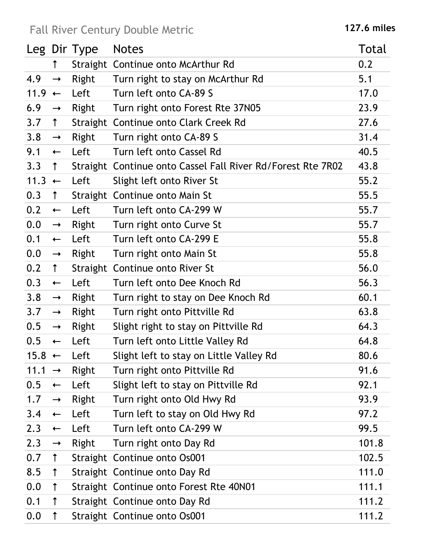## Fall River Century Double Metric **127.6 miles**

|                   |               | Leg Dir Type | <b>Notes</b>                                                | Total |
|-------------------|---------------|--------------|-------------------------------------------------------------|-------|
|                   | $\uparrow$    |              | Straight Continue onto McArthur Rd                          | 0.2   |
| 4.9               | $\rightarrow$ | Right        | Turn right to stay on McArthur Rd                           | 5.1   |
| 11.9              | $\leftarrow$  | Left         | Turn left onto CA-89 S                                      | 17.0  |
| 6.9               | $\rightarrow$ | Right        | Turn right onto Forest Rte 37N05                            | 23.9  |
| 3.7               | $\uparrow$    |              | Straight Continue onto Clark Creek Rd                       | 27.6  |
| 3.8               | $\rightarrow$ | Right        | Turn right onto CA-89 S                                     | 31.4  |
| 9.1               | $\leftarrow$  | Left         | Turn left onto Cassel Rd                                    | 40.5  |
| 3.3               | $\uparrow$    |              | Straight Continue onto Cassel Fall River Rd/Forest Rte 7R02 | 43.8  |
| 11.3              | $\leftarrow$  | Left         | Slight left onto River St                                   | 55.2  |
| 0.3               | $\uparrow$    |              | Straight Continue onto Main St                              | 55.5  |
| 0.2               | $\leftarrow$  | Left         | Turn left onto CA-299 W                                     | 55.7  |
| 0.0               | $\rightarrow$ | Right        | Turn right onto Curve St                                    | 55.7  |
| 0.1               | $\leftarrow$  | Left         | Turn left onto CA-299 E                                     | 55.8  |
| 0.0               | $\rightarrow$ | Right        | Turn right onto Main St                                     | 55.8  |
| 0.2               | $\uparrow$    |              | Straight Continue onto River St                             | 56.0  |
| 0.3               | $\leftarrow$  | Left         | Turn left onto Dee Knoch Rd                                 | 56.3  |
| 3.8               | $\rightarrow$ | Right        | Turn right to stay on Dee Knoch Rd                          | 60.1  |
| 3.7               | $\rightarrow$ | Right        | Turn right onto Pittville Rd                                | 63.8  |
| 0.5               | $\rightarrow$ | Right        | Slight right to stay on Pittville Rd                        | 64.3  |
| 0.5               | $\leftarrow$  | Left         | Turn left onto Little Valley Rd                             | 64.8  |
| $15.8 \leftarrow$ |               | Left         | Slight left to stay on Little Valley Rd                     | 80.6  |
| 11.1              | $\rightarrow$ | Right        | Turn right onto Pittville Rd                                | 91.6  |
| 0.5               | $\leftarrow$  | Left         | Slight left to stay on Pittville Rd                         | 92.1  |
| 1.7               | $\rightarrow$ | Right        | Turn right onto Old Hwy Rd                                  | 93.9  |
| 3.4               | $\leftarrow$  | Left         | Turn left to stay on Old Hwy Rd                             | 97.2  |
| 2.3               | $\leftarrow$  | Left         | Turn left onto CA-299 W                                     | 99.5  |
| 2.3               | $\rightarrow$ | Right        | Turn right onto Day Rd                                      | 101.8 |
| 0.7               | $\uparrow$    |              | Straight Continue onto Os001                                | 102.5 |
| 8.5               | $\uparrow$    |              | Straight Continue onto Day Rd                               | 111.0 |
| 0.0               | $\uparrow$    |              | Straight Continue onto Forest Rte 40N01                     | 111.1 |
| 0.1               | $\uparrow$    |              | Straight Continue onto Day Rd                               | 111.2 |
| 0.0               | $\uparrow$    |              | Straight Continue onto Os001                                | 111.2 |